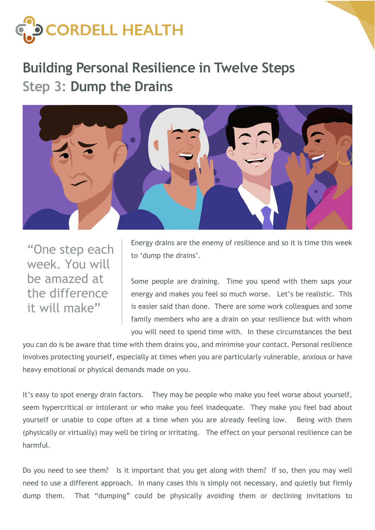

## **Building Personal Resilience in Twelve Steps Step 3: Dump the Drains**



"One step each week. You will be amazed at the difference it will make"

Energy drains are the enemy of resilience and so it is time this week to 'dump the drains'.

Some people are draining. Time you spend with them saps your energy and makes you feel so much worse. Let's be realistic. This is easier said than done. There are some work colleagues and some family members who are a drain on your resilience but with whom you will need to spend time with. In these circumstances the best

you can do is be aware that time with them drains you, and minimise your contact. Personal resilience involves protecting yourself, especially at times when you are particularly vulnerable, anxious or have heavy emotional or physical demands made on you.

It's easy to spot energy drain factors. They may be people who make you feel worse about yourself, seem hypercritical or intolerant or who make you feel inadequate. They make you feel bad about yourself or unable to cope often at a time when you are already feeling low. Being with them (physically or virtually) may well be tiring or irritating. The effect on your personal resilience can be harmful.

Do you need to see them? Is it important that you get along with them? If so, then you may well need to use a different approach. In many cases this is simply not necessary, and quietly but firmly dump them. That "dumping" could be physically avoiding them or declining invitations to